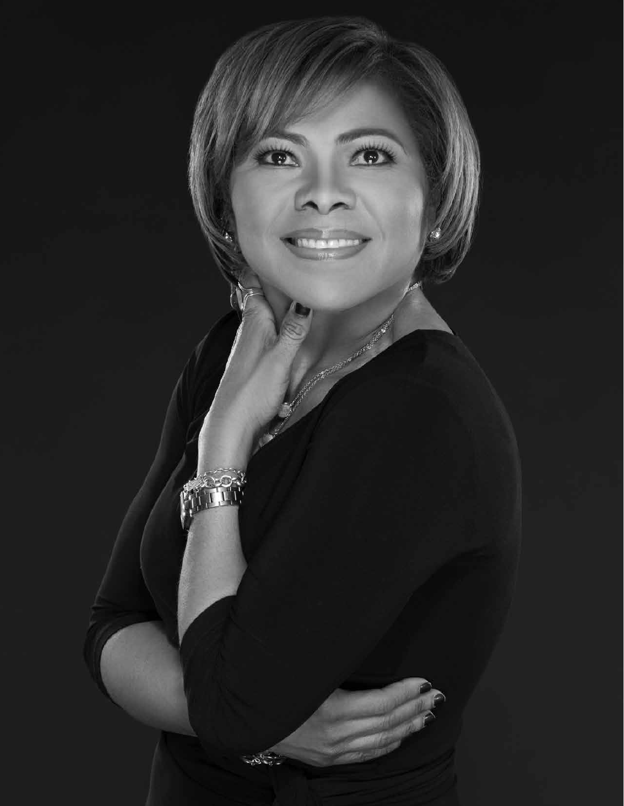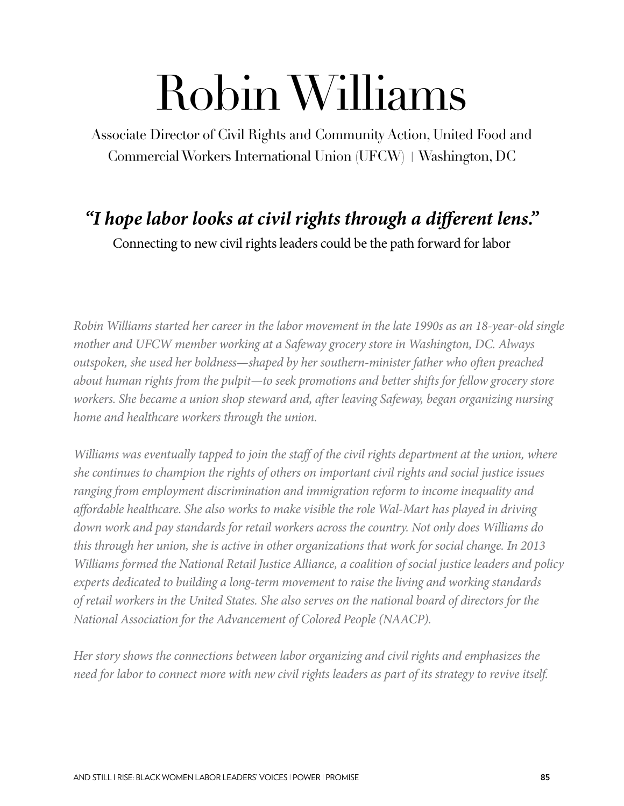## Robin Williams

Associate Director of Civil Rights and Community Action, United Food and Commercial Workers International Union (UFCW) I Washington, DC

## *"I hope labor looks at civil rights through a different lens."*

Connecting to new civil rights leaders could be the path forward for labor

*Robin Williams started her career in the labor movement in the late 1990s as an 18-year-old single mother and UFCW member working at a Safeway grocery store in Washington, DC. Always outspoken, she used her boldness—shaped by her southern-minister father who often preached about human rights from the pulpit—to seek promotions and better shifts for fellow grocery store workers. She became a union shop steward and, after leaving Safeway, began organizing nursing home and healthcare workers through the union.* 

*Williams was eventually tapped to join the staff of the civil rights department at the union, where she continues to champion the rights of others on important civil rights and social justice issues ranging from employment discrimination and immigration reform to income inequality and affordable healthcare. She also works to make visible the role Wal-Mart has played in driving down work and pay standards for retail workers across the country. Not only does Williams do this through her union, she is active in other organizations that work for social change. In 2013 Williams formed the National Retail Justice Alliance, a coalition of social justice leaders and policy experts dedicated to building a long-term movement to raise the living and working standards of retail workers in the United States. She also serves on the national board of directors for the National Association for the Advancement of Colored People (NAACP).*

*Her story shows the connections between labor organizing and civil rights and emphasizes the need for labor to connect more with new civil rights leaders as part of its strategy to revive itself.*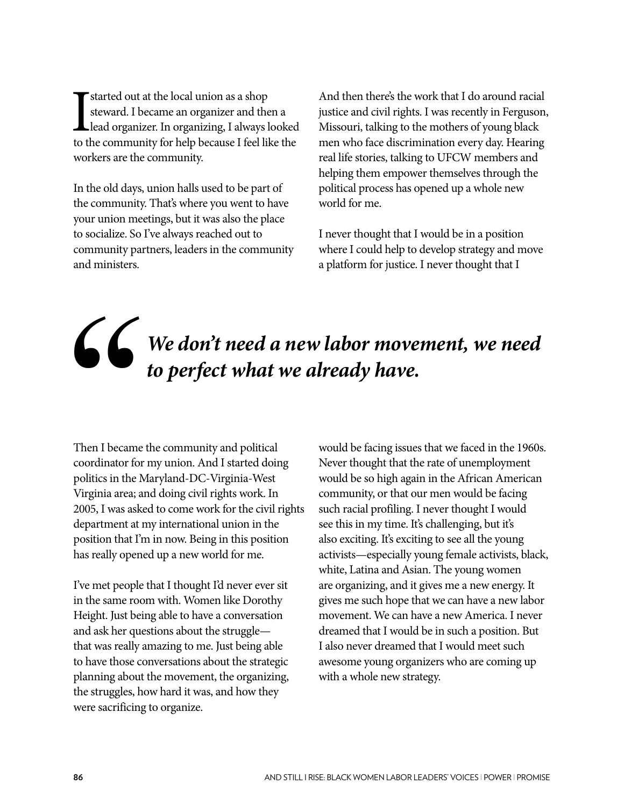started out at the local union as a shop<br>steward. I became an organizer and the<br>lead organizer. In organizing, I always l<br>to the community for help because I feel lil steward. I became an organizer and then a lead organizer. In organizing, I always looked to the community for help because I feel like the workers are the community.

In the old days, union halls used to be part of the community. That's where you went to have your union meetings, but it was also the place to socialize. So I've always reached out to community partners, leaders in the community and ministers.

And then there's the work that I do around racial justice and civil rights. I was recently in Ferguson, Missouri, talking to the mothers of young black men who face discrimination every day. Hearing real life stories, talking to UFCW members and helping them empower themselves through the political process has opened up a whole new world for me.

I never thought that I would be in a position where I could help to develop strategy and move a platform for justice. I never thought that I

## *We don't need a new labor movement, we need to perfect what we already have.*

Then I became the community and political coordinator for my union. And I started doing politics in the Maryland-DC-Virginia-West Virginia area; and doing civil rights work. In 2005, I was asked to come work for the civil rights department at my international union in the position that I'm in now. Being in this position has really opened up a new world for me. Then I becar<br>coordinator<br>politics in th<br>Virginia area<br>2005, I was a<br>department

> I've met people that I thought I'd never ever sit in the same room with. Women like Dorothy Height. Just being able to have a conversation and ask her questions about the struggle that was really amazing to me. Just being able to have those conversations about the strategic planning about the movement, the organizing, the struggles, how hard it was, and how they were sacrificing to organize.

would be facing issues that we faced in the 1960s. Never thought that the rate of unemployment would be so high again in the African American community, or that our men would be facing such racial profiling. I never thought I would see this in my time. It's challenging, but it's also exciting. It's exciting to see all the young activists—especially young female activists, black, white, Latina and Asian. The young women are organizing, and it gives me a new energy. It gives me such hope that we can have a new labor movement. We can have a new America. I never dreamed that I would be in such a position. But I also never dreamed that I would meet such awesome young organizers who are coming up with a whole new strategy.